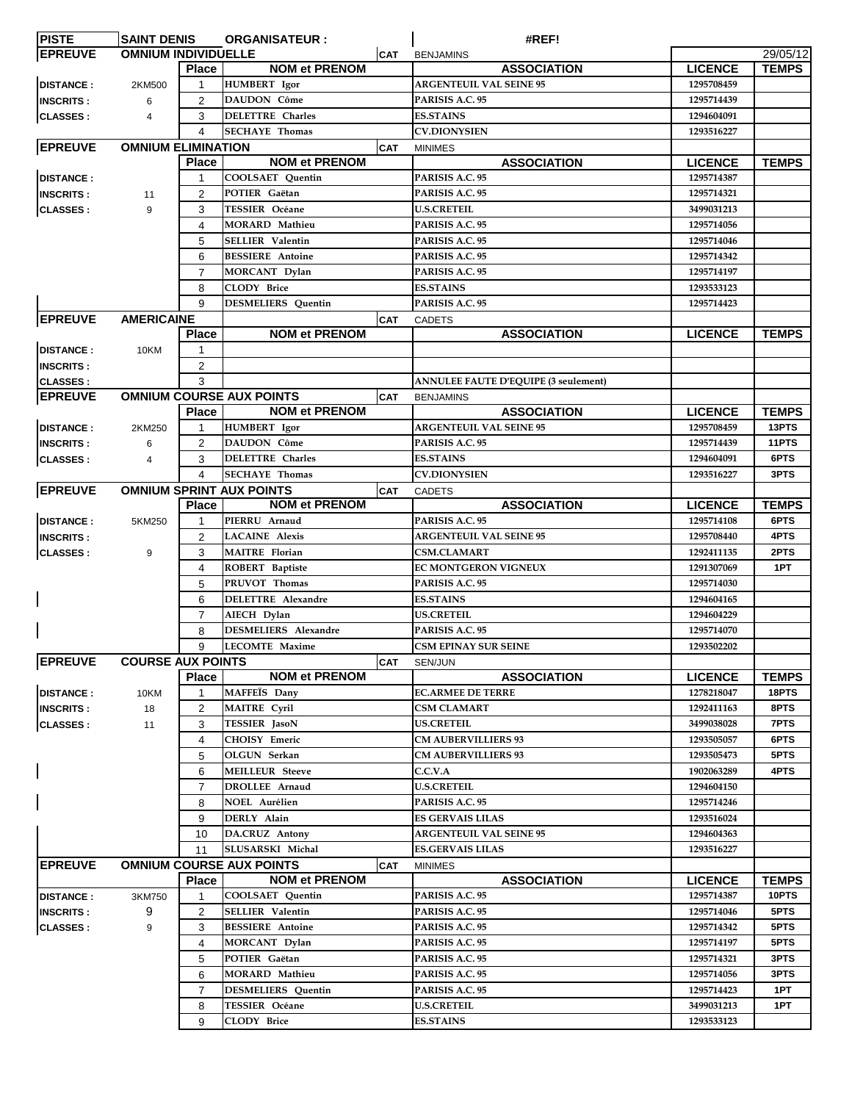| <b>PISTE</b>     | <b>SAINT DENIS</b>         |                | <b>ORGANISATEUR:</b>            |            | #REF!                                       |                |              |
|------------------|----------------------------|----------------|---------------------------------|------------|---------------------------------------------|----------------|--------------|
| <b>EPREUVE</b>   | <b>OMNIUM INDIVIDUELLE</b> |                |                                 | <b>CAT</b> | <b>BENJAMINS</b>                            |                | 29/05/12     |
|                  |                            | <b>Place</b>   | <b>NOM et PRENOM</b>            |            | <b>ASSOCIATION</b>                          | <b>LICENCE</b> | <b>TEMPS</b> |
| <b>DISTANCE:</b> | 2KM500                     | 1              | HUMBERT Igor                    |            | <b>ARGENTEUIL VAL SEINE 95</b>              | 1295708459     |              |
|                  |                            |                |                                 |            |                                             |                |              |
| <b>INSCRITS:</b> | 6                          | $\overline{2}$ | DAUDON Côme                     |            | PARISIS A.C. 95                             | 1295714439     |              |
| <b>CLASSES:</b>  | 4                          | 3              | <b>DELETTRE Charles</b>         |            | <b>ES.STAINS</b>                            | 1294604091     |              |
|                  |                            | 4              | <b>SECHAYE Thomas</b>           |            | <b>CV.DIONYSIEN</b>                         | 1293516227     |              |
| <b>EPREUVE</b>   | <b>OMNIUM ELIMINATION</b>  |                |                                 | <b>CAT</b> | <b>MINIMES</b>                              |                |              |
|                  |                            | <b>Place</b>   | <b>NOM et PRENOM</b>            |            | <b>ASSOCIATION</b>                          | <b>LICENCE</b> | <b>TEMPS</b> |
|                  |                            |                |                                 |            |                                             |                |              |
| <b>DISTANCE:</b> |                            |                | COOLSAET Quentin                |            | PARISIS A.C. 95                             | 1295714387     |              |
| <b>INSCRITS:</b> | 11                         | $\overline{2}$ | POTIER Gaëtan                   |            | PARISIS A.C. 95                             | 1295714321     |              |
| <b>CLASSES:</b>  | 9                          | 3              | TESSIER Océane                  |            | <b>U.S.CRETEIL</b>                          | 3499031213     |              |
|                  |                            | 4              | <b>MORARD Mathieu</b>           |            | PARISIS A.C. 95                             | 1295714056     |              |
|                  |                            | 5              | SELLIER Valentin                |            | PARISIS A.C. 95                             | 1295714046     |              |
|                  |                            |                |                                 |            |                                             |                |              |
|                  |                            | 6              | <b>BESSIERE</b> Antoine         |            | PARISIS A.C. 95                             | 1295714342     |              |
|                  |                            | $\overline{7}$ | MORCANT Dylan                   |            | PARISIS A.C. 95                             | 1295714197     |              |
|                  |                            | 8              | <b>CLODY Brice</b>              |            | <b>ES.STAINS</b>                            | 1293533123     |              |
|                  |                            | 9              | <b>DESMELIERS</b> Quentin       |            | PARISIS A.C. 95                             | 1295714423     |              |
| <b>EPREUVE</b>   | <b>AMERICAINE</b>          |                |                                 | <b>CAT</b> | <b>CADETS</b>                               |                |              |
|                  |                            |                |                                 |            |                                             |                |              |
|                  |                            | <b>Place</b>   | <b>NOM et PRENOM</b>            |            | <b>ASSOCIATION</b>                          | <b>LICENCE</b> | <b>TEMPS</b> |
| <b>DISTANCE:</b> | 10KM                       |                |                                 |            |                                             |                |              |
| <b>INSCRITS:</b> |                            | $\overline{a}$ |                                 |            |                                             |                |              |
| <b>CLASSES:</b>  |                            | 3              |                                 |            | <b>ANNULEE FAUTE D'EQUIPE (3 seulement)</b> |                |              |
|                  |                            |                |                                 |            |                                             |                |              |
| <b>EPREUVE</b>   |                            |                | <b>OMNIUM COURSE AUX POINTS</b> | <b>CAT</b> | <b>BENJAMINS</b>                            |                |              |
|                  |                            | <b>Place</b>   | <b>NOM et PRENOM</b>            |            | <b>ASSOCIATION</b>                          | <b>LICENCE</b> | <b>TEMPS</b> |
| <b>DISTANCE:</b> | 2KM250                     | 1              | HUMBERT Igor                    |            | <b>ARGENTEUIL VAL SEINE 95</b>              | 1295708459     | 13PTS        |
| <b>INSCRITS:</b> | 6                          | $\overline{2}$ | DAUDON Côme                     |            | PARISIS A.C. 95                             | 1295714439     | 11PTS        |
| <b>CLASSES:</b>  | 4                          | 3              | <b>DELETTRE Charles</b>         |            | <b>ES.STAINS</b>                            | 1294604091     | 6PTS         |
|                  |                            | 4              | <b>SECHAYE Thomas</b>           |            | <b>CV.DIONYSIEN</b>                         | 1293516227     | 3PTS         |
|                  |                            |                |                                 |            |                                             |                |              |
| <b>EPREUVE</b>   |                            |                | <b>OMNIUM SPRINT AUX POINTS</b> | <b>CAT</b> | <b>CADETS</b>                               |                |              |
|                  |                            | <b>Place</b>   | <b>NOM et PRENOM</b>            |            | <b>ASSOCIATION</b>                          | <b>LICENCE</b> | <b>TEMPS</b> |
| <b>DISTANCE:</b> | 5KM250                     | 1              | PIERRU Arnaud                   |            | PARISIS A.C. 95                             | 1295714108     | 6PTS         |
| <b>INSCRITS:</b> |                            | $\overline{2}$ | <b>LACAINE Alexis</b>           |            | <b>ARGENTEUIL VAL SEINE 95</b>              | 1295708440     | 4PTS         |
| <b>CLASSES:</b>  | 9                          | 3              | <b>MAITRE</b> Florian           |            | <b>CSM.CLAMART</b>                          | 1292411135     | 2PTS         |
|                  |                            |                |                                 |            |                                             |                |              |
|                  |                            | 4              | ROBERT Baptiste                 |            | <b>EC MONTGERON VIGNEUX</b>                 | 1291307069     | 1PT          |
|                  |                            | 5              | PRUVOT Thomas                   |            | PARISIS A.C. 95                             | 1295714030     |              |
|                  |                            | 6              | <b>DELETTRE Alexandre</b>       |            | <b>ES.STAINS</b>                            | 1294604165     |              |
|                  |                            | $\overline{7}$ | AIECH Dylan                     |            | <b>US.CRETEIL</b>                           | 1294604229     |              |
|                  |                            | 8              | <b>DESMELIERS</b> Alexandre     |            | PARISIS A.C. 95                             | 1295714070     |              |
|                  |                            |                |                                 |            |                                             |                |              |
|                  |                            | 9              | <b>LECOMTE Maxime</b>           |            | CSM EPINAY SUR SEINE                        | 1293502202     |              |
| <b>EPREUVE</b>   | <b>COURSE AUX POINTS</b>   |                |                                 | <b>CAT</b> | SEN/JUN                                     |                |              |
|                  |                            | <b>Place</b>   | <b>NOM et PRENOM</b>            |            | <b>ASSOCIATION</b>                          | <b>LICENCE</b> | <b>TEMPS</b> |
| <b>DISTANCE:</b> | 10KM                       | 1              | MAFFEÏS Dany                    |            | <b>EC.ARMEE DE TERRE</b>                    | 1278218047     | 18PTS        |
| <b>INSCRITS:</b> | 18                         | $\overline{2}$ | <b>MAITRE Cyril</b>             |            | <b>CSM CLAMART</b>                          | 1292411163     | 8PTS         |
|                  |                            | 3              | TESSIER JasoN                   |            | <b>US.CRETEIL</b>                           | 3499038028     | 7PTS         |
| <b>CLASSES:</b>  | 11                         |                |                                 |            |                                             |                |              |
|                  |                            | 4              | CHOISY Emeric                   |            | <b>CM AUBERVILLIERS 93</b>                  | 1293505057     | 6PTS         |
|                  |                            | 5              | OLGUN Serkan                    |            | <b>CM AUBERVILLIERS 93</b>                  | 1293505473     | 5PTS         |
|                  |                            | 6              | <b>MEILLEUR</b> Steeve          |            | C.C.V.A                                     | 1902063289     | 4PTS         |
|                  |                            | $\overline{7}$ | <b>DROLLEE Arnaud</b>           |            | <b>U.S.CRETEIL</b>                          | 1294604150     |              |
|                  |                            | 8              | NOEL Aurélien                   |            | PARISIS A.C. 95                             | 1295714246     |              |
|                  |                            |                |                                 |            |                                             |                |              |
|                  |                            | 9              | DERLY Alain                     |            | <b>ES GERVAIS LILAS</b>                     | 1293516024     |              |
|                  |                            | 10             | DA.CRUZ Antony                  |            | <b>ARGENTEUIL VAL SEINE 95</b>              | 1294604363     |              |
|                  |                            | 11             | <b>SLUSARSKI Michal</b>         |            | <b>ES.GERVAIS LILAS</b>                     | 1293516227     |              |
| <b>EPREUVE</b>   |                            |                | <b>OMNIUM COURSE AUX POINTS</b> | <b>CAT</b> | <b>MINIMES</b>                              |                |              |
|                  |                            | <b>Place</b>   | <b>NOM et PRENOM</b>            |            | <b>ASSOCIATION</b>                          | <b>LICENCE</b> | <b>TEMPS</b> |
|                  |                            |                |                                 |            |                                             |                |              |
| <b>DISTANCE:</b> | 3KM750                     | 1              | COOLSAET Quentin                |            | PARISIS A.C. 95                             | 1295714387     | 10PTS        |
| <b>INSCRITS:</b> | 9                          | $\overline{2}$ | <b>SELLIER Valentin</b>         |            | PARISIS A.C. 95                             | 1295714046     | 5PTS         |
| <b>CLASSES:</b>  | 9                          | 3              | <b>BESSIERE</b> Antoine         |            | PARISIS A.C. 95                             | 1295714342     | 5PTS         |
|                  |                            | 4              | MORCANT Dylan                   |            | PARISIS A.C. 95                             | 1295714197     | 5PTS         |
|                  |                            | 5              | POTIER Gaëtan                   |            | PARISIS A.C. 95                             | 1295714321     | 3PTS         |
|                  |                            |                |                                 |            |                                             |                |              |
|                  |                            | 6              | <b>MORARD Mathieu</b>           |            | PARISIS A.C. 95                             | 1295714056     | 3PTS         |
|                  |                            | $\overline{7}$ | <b>DESMELIERS</b> Quentin       |            | PARISIS A.C. 95                             | 1295714423     | 1PT          |
|                  |                            | 8              | <b>TESSIER</b> Océane           |            | <b>U.S.CRETEIL</b>                          | 3499031213     | 1PT          |
|                  |                            | 9              | <b>CLODY Brice</b>              |            | <b>ES.STAINS</b>                            | 1293533123     |              |
|                  |                            |                |                                 |            |                                             |                |              |